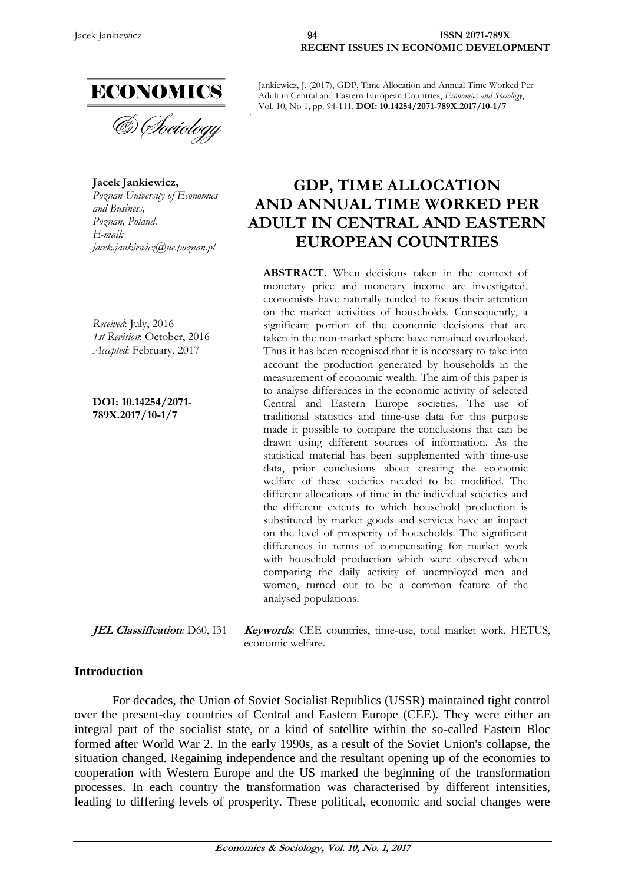

& Sociology

**Jacek Jankiewicz,** *Poznan University of Economics and Business, Poznan, Poland, E-mail: jacek.jankiewicz@ue.poznan.pl*

*Received*: July, 2016 *1st Revision*: October, 2016 *Accepted*: February, 2017

**DOI: 10.14254/2071- 789X.2017/10-1/7**

Jankiewicz, J. (2017), GDP, Time Allocation and Annual Time Worked Per Adult in Central and Eastern European Countries, *Economics and Sociology*, Vol. 10, No 1, pp. 94-111. **DOI: 10.14254/2071-789X.2017/10-1/7**

# **GDP, TIME ALLOCATION AND ANNUAL TIME WORKED PER ADULT IN CENTRAL AND EASTERN EUROPEAN COUNTRIES**

**ABSTRACT.** When decisions taken in the context of monetary price and monetary income are investigated, economists have naturally tended to focus their attention on the market activities of households. Consequently, a significant portion of the economic decisions that are taken in the non-market sphere have remained overlooked. Thus it has been recognised that it is necessary to take into account the production generated by households in the measurement of economic wealth. The aim of this paper is to analyse differences in the economic activity of selected Central and Eastern Europe societies. The use of traditional statistics and time-use data for this purpose made it possible to compare the conclusions that can be drawn using different sources of information. As the statistical material has been supplemented with time-use data, prior conclusions about creating the economic welfare of these societies needed to be modified. The different allocations of time in the individual societies and the different extents to which household production is substituted by market goods and services have an impact on the level of prosperity of households. The significant differences in terms of compensating for market work with household production which were observed when comparing the daily activity of unemployed men and women, turned out to be a common feature of the analysed populations.

**JEL Classification***:* D60, I31 **Keywords**: CEE countries, time-use, total market work, HETUS, economic welfare.

## **Introduction**

For decades, the Union of Soviet Socialist Republics (USSR) maintained tight control over the present-day countries of Central and Eastern Europe (CEE). They were either an integral part of the socialist state, or a kind of satellite within the so-called Eastern Bloc formed after World War 2. In the early 1990s, as a result of the Soviet Union's collapse, the situation changed. Regaining independence and the resultant opening up of the economies to cooperation with Western Europe and the US marked the beginning of the transformation processes. In each country the transformation was characterised by different intensities, leading to differing levels of prosperity. These political, economic and social changes were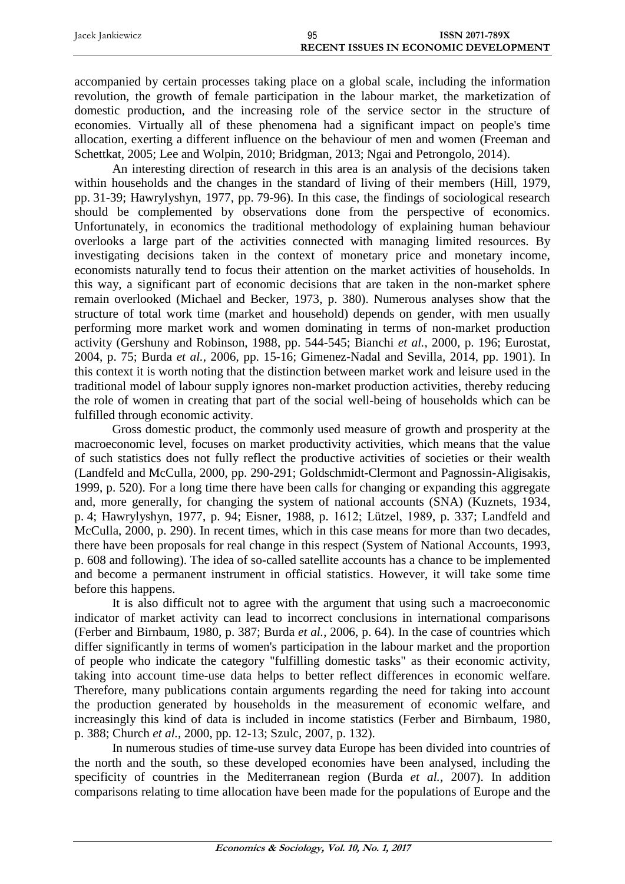| Jacek Jankiewicz | 95 | <b>ISSN 2071-789X</b>                        |
|------------------|----|----------------------------------------------|
|                  |    | <b>RECENT ISSUES IN ECONOMIC DEVELOPMENT</b> |

accompanied by certain processes taking place on a global scale, including the information revolution, the growth of female participation in the labour market, the marketization of domestic production, and the increasing role of the service sector in the structure of economies. Virtually all of these phenomena had a significant impact on people's time allocation, exerting a different influence on the behaviour of men and women (Freeman and Schettkat, 2005; Lee and Wolpin, 2010; Bridgman, 2013; Ngai and Petrongolo, 2014).

An interesting direction of research in this area is an analysis of the decisions taken within households and the changes in the standard of living of their members (Hill, 1979, pp. 31-39; Hawrylyshyn, 1977, pp. 79-96). In this case, the findings of sociological research should be complemented by observations done from the perspective of economics. Unfortunately, in economics the traditional methodology of explaining human behaviour overlooks a large part of the activities connected with managing limited resources. By investigating decisions taken in the context of monetary price and monetary income, economists naturally tend to focus their attention on the market activities of households. In this way, a significant part of economic decisions that are taken in the non-market sphere remain overlooked (Michael and Becker, 1973, p. 380). Numerous analyses show that the structure of total work time (market and household) depends on gender, with men usually performing more market work and women dominating in terms of non-market production activity (Gershuny and Robinson, 1988, pp. 544-545; Bianchi *et al.*, 2000, p. 196; Eurostat, 2004, p. 75; Burda *et al.*, 2006, pp. 15-16; Gimenez-Nadal and Sevilla, 2014, pp. 1901). In this context it is worth noting that the distinction between market work and leisure used in the traditional model of labour supply ignores non-market production activities, thereby reducing the role of women in creating that part of the social well-being of households which can be fulfilled through economic activity.

Gross domestic product, the commonly used measure of growth and prosperity at the macroeconomic level, focuses on market productivity activities, which means that the value of such statistics does not fully reflect the productive activities of societies or their wealth (Landfeld and McCulla, 2000, pp. 290-291; Goldschmidt-Clermont and Pagnossin-Aligisakis, 1999, p. 520). For a long time there have been calls for changing or expanding this aggregate and, more generally, for changing the system of national accounts (SNA) (Kuznets, 1934, p. 4; Hawrylyshyn, 1977, p. 94; Eisner, 1988, p. 1612; Lützel, 1989, p. 337; Landfeld and McCulla, 2000, p. 290). In recent times, which in this case means for more than two decades, there have been proposals for real change in this respect (System of National Accounts, 1993, p. 608 and following). The idea of so-called satellite accounts has a chance to be implemented and become a permanent instrument in official statistics. However, it will take some time before this happens.

It is also difficult not to agree with the argument that using such a macroeconomic indicator of market activity can lead to incorrect conclusions in international comparisons (Ferber and Birnbaum, 1980, p. 387; Burda *et al.*, 2006, p. 64). In the case of countries which differ significantly in terms of women's participation in the labour market and the proportion of people who indicate the category "fulfilling domestic tasks" as their economic activity, taking into account time-use data helps to better reflect differences in economic welfare. Therefore, many publications contain arguments regarding the need for taking into account the production generated by households in the measurement of economic welfare, and increasingly this kind of data is included in income statistics (Ferber and Birnbaum, 1980, p. 388; Church *et al.*, 2000, pp. 12-13; Szulc, 2007, p. 132).

In numerous studies of time-use survey data Europe has been divided into countries of the north and the south, so these developed economies have been analysed, including the specificity of countries in the Mediterranean region (Burda *et al.*, 2007). In addition comparisons relating to time allocation have been made for the populations of Europe and the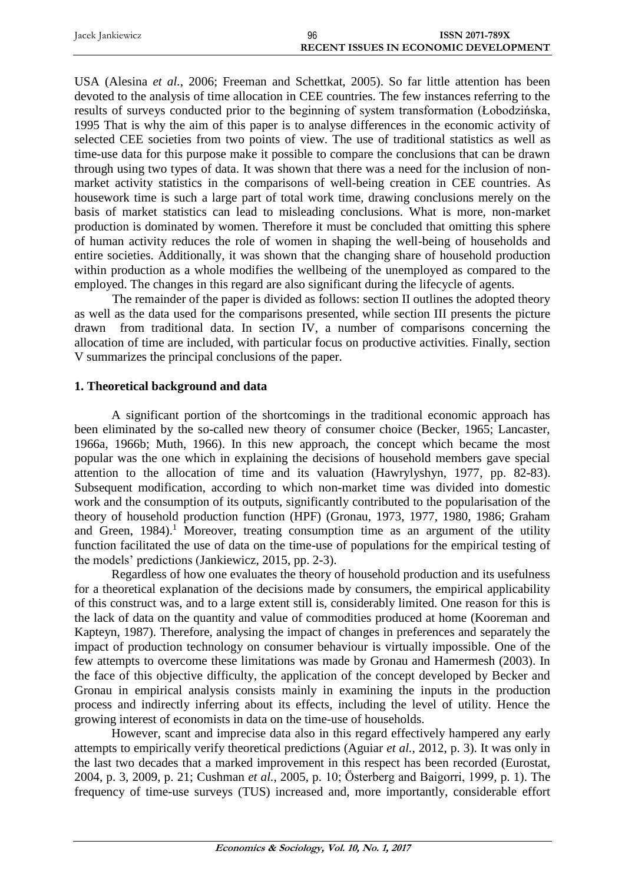| Jacek Jankiewicz | 96 | <b>ISSN 2071-789X</b>                        |
|------------------|----|----------------------------------------------|
|                  |    | <b>RECENT ISSUES IN ECONOMIC DEVELOPMENT</b> |

USA (Alesina *et al.*, 2006; Freeman and Schettkat, 2005). So far little attention has been devoted to the analysis of time allocation in CEE countries. The few instances referring to the results of surveys conducted prior to the beginning of system transformation (Łobodzińska, 1995 That is why the aim of this paper is to analyse differences in the economic activity of selected CEE societies from two points of view. The use of traditional statistics as well as time-use data for this purpose make it possible to compare the conclusions that can be drawn through using two types of data. It was shown that there was a need for the inclusion of nonmarket activity statistics in the comparisons of well-being creation in CEE countries. As housework time is such a large part of total work time, drawing conclusions merely on the basis of market statistics can lead to misleading conclusions. What is more, non-market production is dominated by women. Therefore it must be concluded that omitting this sphere of human activity reduces the role of women in shaping the well-being of households and entire societies. Additionally, it was shown that the changing share of household production within production as a whole modifies the wellbeing of the unemployed as compared to the employed. The changes in this regard are also significant during the lifecycle of agents.

The remainder of the paper is divided as follows: section II outlines the adopted theory as well as the data used for the comparisons presented, while section III presents the picture drawn from traditional data. In section IV, a number of comparisons concerning the allocation of time are included, with particular focus on productive activities. Finally, section V summarizes the principal conclusions of the paper.

## **1. Theoretical background and data**

A significant portion of the shortcomings in the traditional economic approach has been eliminated by the so-called new theory of consumer choice (Becker, 1965; Lancaster, 1966a, 1966b; Muth, 1966). In this new approach, the concept which became the most popular was the one which in explaining the decisions of household members gave special attention to the allocation of time and its valuation (Hawrylyshyn, 1977, pp. 82-83). Subsequent modification, according to which non-market time was divided into domestic work and the consumption of its outputs, significantly contributed to the popularisation of the theory of household production function (HPF) (Gronau, 1973, 1977, 1980, 1986; Graham and Green,  $1984$ <sup>1</sup>. Moreover, treating consumption time as an argument of the utility function facilitated the use of data on the time-use of populations for the empirical testing of the models' predictions (Jankiewicz, 2015, pp. 2-3).

Regardless of how one evaluates the theory of household production and its usefulness for a theoretical explanation of the decisions made by consumers, the empirical applicability of this construct was, and to a large extent still is, considerably limited. One reason for this is the lack of data on the quantity and value of commodities produced at home (Kooreman and Kapteyn, 1987). Therefore, analysing the impact of changes in preferences and separately the impact of production technology on consumer behaviour is virtually impossible. One of the few attempts to overcome these limitations was made by Gronau and Hamermesh (2003). In the face of this objective difficulty, the application of the concept developed by Becker and Gronau in empirical analysis consists mainly in examining the inputs in the production process and indirectly inferring about its effects, including the level of utility. Hence the growing interest of economists in data on the time-use of households.

However, scant and imprecise data also in this regard effectively hampered any early attempts to empirically verify theoretical predictions (Aguiar *et al.*, 2012, p. 3). It was only in the last two decades that a marked improvement in this respect has been recorded (Eurostat, 2004, p. 3, 2009, p. 21; Cushman *et al.*, 2005, p. 10; Österberg and Baigorri, 1999, p. 1). The frequency of time-use surveys (TUS) increased and, more importantly, considerable effort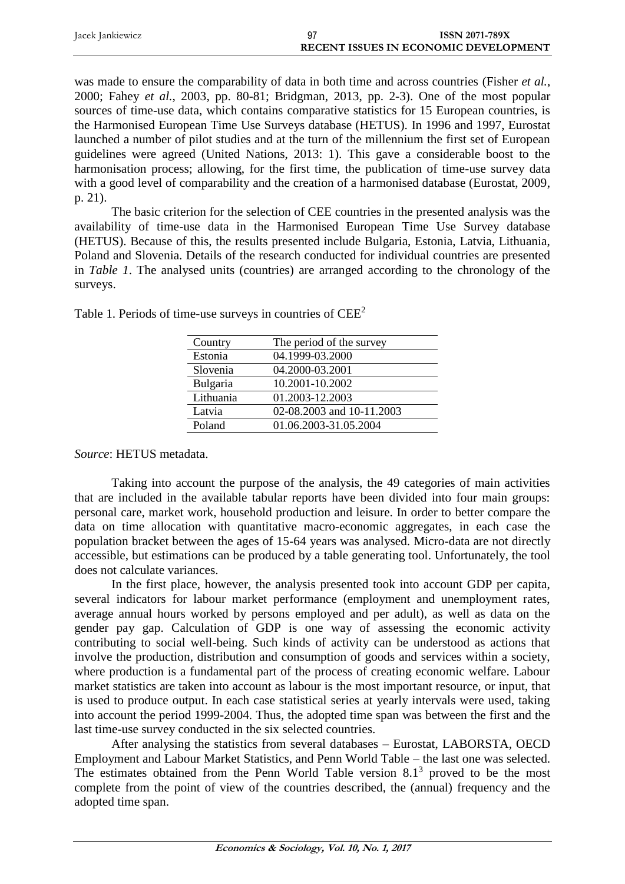| Jacek Jankiewicz | <b>ISSN 2071-789X</b>                        |
|------------------|----------------------------------------------|
|                  | <b>RECENT ISSUES IN ECONOMIC DEVELOPMENT</b> |

was made to ensure the comparability of data in both time and across countries (Fisher *et al.*, 2000; Fahey *et al.*, 2003, pp. 80-81; Bridgman, 2013, pp. 2-3). One of the most popular sources of time-use data, which contains comparative statistics for 15 European countries, is the Harmonised European Time Use Surveys database (HETUS). In 1996 and 1997, Eurostat launched a number of pilot studies and at the turn of the millennium the first set of European guidelines were agreed (United Nations, 2013: 1). This gave a considerable boost to the harmonisation process; allowing, for the first time, the publication of time-use survey data with a good level of comparability and the creation of a harmonised database (Eurostat, 2009, p. 21).

The basic criterion for the selection of CEE countries in the presented analysis was the availability of time-use data in the Harmonised European Time Use Survey database (HETUS). Because of this, the results presented include Bulgaria, Estonia, Latvia, Lithuania, Poland and Slovenia. Details of the research conducted for individual countries are presented in *Table 1*. The analysed units (countries) are arranged according to the chronology of the surveys.

| Country   | The period of the survey  |
|-----------|---------------------------|
| Estonia   | 04.1999-03.2000           |
| Slovenia  | 04.2000-03.2001           |
| Bulgaria  | 10.2001-10.2002           |
| Lithuania | 01.2003-12.2003           |
| Latvia    | 02-08.2003 and 10-11.2003 |
| Poland    | 01.06.2003-31.05.2004     |

Table 1. Periods of time-use surveys in countries of CEE<sup>2</sup>

# *Source*: HETUS metadata.

Taking into account the purpose of the analysis, the 49 categories of main activities that are included in the available tabular reports have been divided into four main groups: personal care, market work, household production and leisure. In order to better compare the data on time allocation with quantitative macro-economic aggregates, in each case the population bracket between the ages of 15-64 years was analysed. Micro-data are not directly accessible, but estimations can be produced by a table generating tool. Unfortunately, the tool does not calculate variances.

In the first place, however, the analysis presented took into account GDP per capita, several indicators for labour market performance (employment and unemployment rates, average annual hours worked by persons employed and per adult), as well as data on the gender pay gap. Calculation of GDP is one way of assessing the economic activity contributing to social well-being. Such kinds of activity can be understood as actions that involve the production, distribution and consumption of goods and services within a society, where production is a fundamental part of the process of creating economic welfare. Labour market statistics are taken into account as labour is the most important resource, or input, that is used to produce output. In each case statistical series at yearly intervals were used, taking into account the period 1999-2004. Thus, the adopted time span was between the first and the last time-use survey conducted in the six selected countries.

After analysing the statistics from several databases – Eurostat, LABORSTA, OECD Employment and Labour Market Statistics, and Penn World Table – the last one was selected. The estimates obtained from the Penn World Table version  $8.1<sup>3</sup>$  proved to be the most complete from the point of view of the countries described, the (annual) frequency and the adopted time span.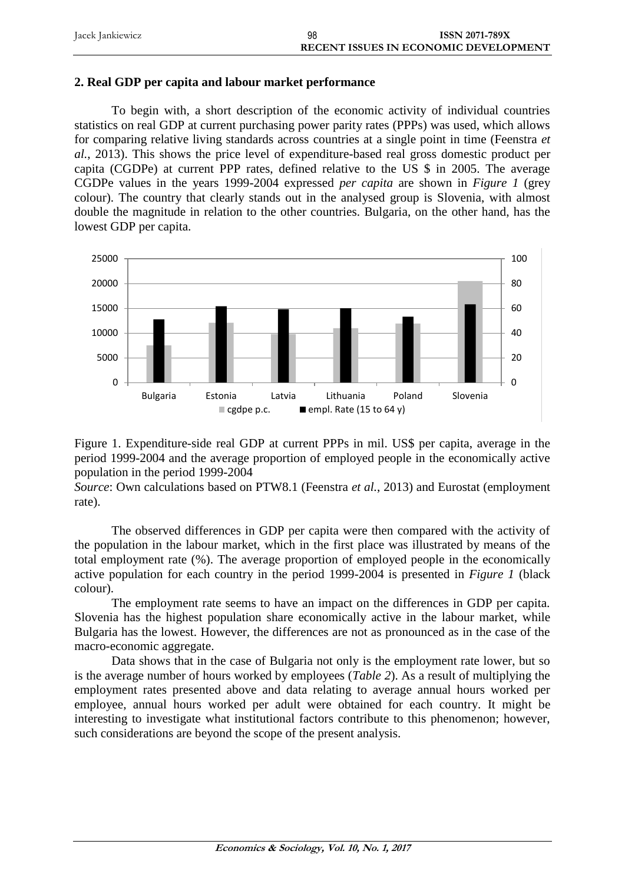| Jacek Jankiewicz | 98 | <b>ISSN 2071-789X</b>                        |
|------------------|----|----------------------------------------------|
|                  |    | <b>RECENT ISSUES IN ECONOMIC DEVELOPMENT</b> |

#### **2. Real GDP per capita and labour market performance**

To begin with, a short description of the economic activity of individual countries statistics on real GDP at current purchasing power parity rates (PPPs) was used, which allows for comparing relative living standards across countries at a single point in time (Feenstra *et al.*, 2013). This shows the price level of expenditure-based real gross domestic product per capita (CGDPe) at current PPP rates, defined relative to the US \$ in 2005. The average CGDPe values in the years 1999-2004 expressed *per capita* are shown in *Figure 1* (grey colour). The country that clearly stands out in the analysed group is Slovenia, with almost double the magnitude in relation to the other countries. Bulgaria, on the other hand, has the lowest GDP per capita.





*Source*: Own calculations based on PTW8.1 (Feenstra *et al.*, 2013) and Eurostat (employment rate).

The observed differences in GDP per capita were then compared with the activity of the population in the labour market, which in the first place was illustrated by means of the total employment rate (%). The average proportion of employed people in the economically active population for each country in the period 1999-2004 is presented in *Figure 1* (black colour).

The employment rate seems to have an impact on the differences in GDP per capita. Slovenia has the highest population share economically active in the labour market, while Bulgaria has the lowest. However, the differences are not as pronounced as in the case of the macro-economic aggregate.

Data shows that in the case of Bulgaria not only is the employment rate lower, but so is the average number of hours worked by employees (*Table 2*). As a result of multiplying the employment rates presented above and data relating to average annual hours worked per employee, annual hours worked per adult were obtained for each country. It might be interesting to investigate what institutional factors contribute to this phenomenon; however, such considerations are beyond the scope of the present analysis.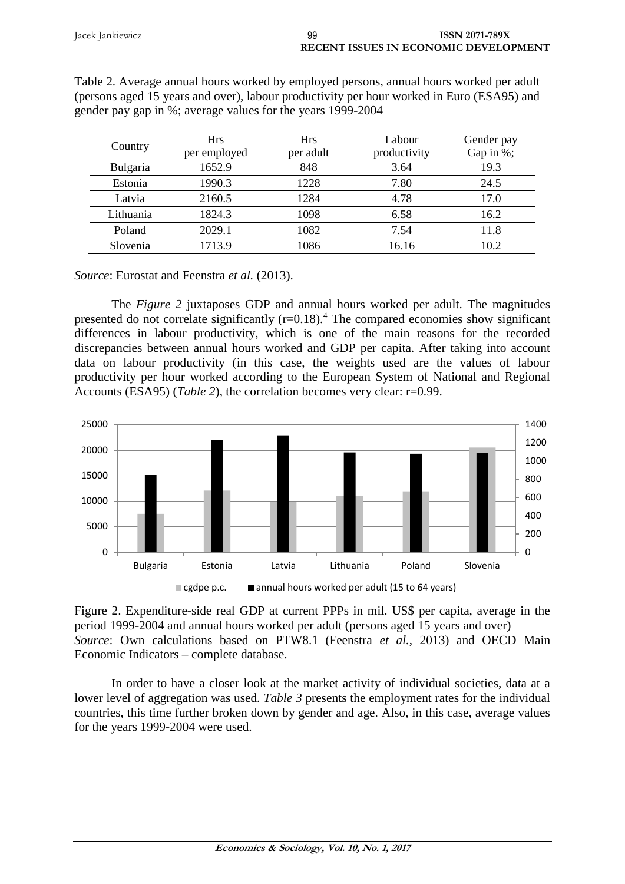| Jacek Jankiewicz | 99 | <b>ISSN 2071-789X</b>                        |
|------------------|----|----------------------------------------------|
|                  |    | <b>RECENT ISSUES IN ECONOMIC DEVELOPMENT</b> |

| Country   | <b>Hrs</b><br>per employed | <b>Hrs</b><br>per adult | Labour<br>productivity | Gender pay<br>Gap in %; |
|-----------|----------------------------|-------------------------|------------------------|-------------------------|
| Bulgaria  | 1652.9                     | 848                     | 3.64                   | 19.3                    |
| Estonia   | 1990.3                     | 1228                    | 7.80                   | 24.5                    |
| Latvia    | 2160.5                     | 1284                    | 4.78                   | 17.0                    |
| Lithuania | 1824.3                     | 1098                    | 6.58                   | 16.2                    |
| Poland    | 2029.1                     | 1082                    | 7.54                   | 11.8                    |
| Slovenia  | 1713.9                     | 1086                    | 16.16                  | 10.2                    |

Table 2. Average annual hours worked by employed persons, annual hours worked per adult (persons aged 15 years and over), labour productivity per hour worked in Euro (ESA95) and gender pay gap in %; average values for the years 1999-2004

*Source*: Eurostat and Feenstra *et al.* (2013).

The *Figure 2* juxtaposes GDP and annual hours worked per adult. The magnitudes presented do not correlate significantly  $(r=0.18)$ .<sup>4</sup> The compared economies show significant differences in labour productivity, which is one of the main reasons for the recorded discrepancies between annual hours worked and GDP per capita. After taking into account data on labour productivity (in this case, the weights used are the values of labour productivity per hour worked according to the European System of National and Regional Accounts (ESA95) (*Table 2*), the correlation becomes very clear: r=0.99.



Figure 2. Expenditure-side real GDP at current PPPs in mil. US\$ per capita, average in the period 1999-2004 and annual hours worked per adult (persons aged 15 years and over) *Source*: Own calculations based on PTW8.1 (Feenstra *et al.*, 2013) and OECD Main Economic Indicators – complete database.

In order to have a closer look at the market activity of individual societies, data at a lower level of aggregation was used. *Table 3* presents the employment rates for the individual countries, this time further broken down by gender and age. Also, in this case, average values for the years 1999-2004 were used.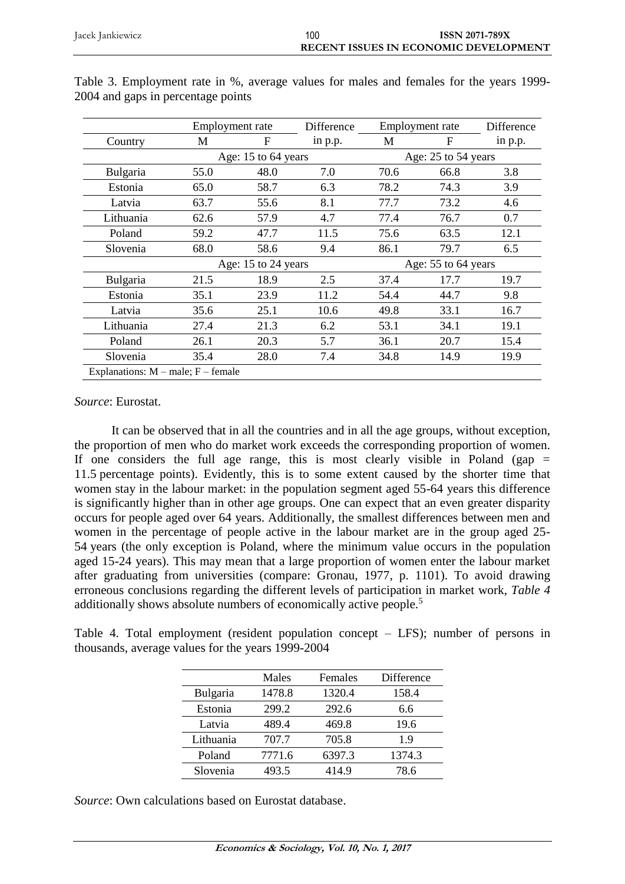|                                        |      | Employment rate     |         |      | Employment rate     |         |  |
|----------------------------------------|------|---------------------|---------|------|---------------------|---------|--|
| Country                                | M    | F                   | in p.p. | M    | F                   | in p.p. |  |
|                                        |      | Age: 15 to 64 years |         |      | Age: 25 to 54 years |         |  |
| Bulgaria                               | 55.0 | 48.0                | 7.0     | 70.6 | 66.8                | 3.8     |  |
| Estonia                                | 65.0 | 58.7                | 6.3     | 78.2 | 74.3                | 3.9     |  |
| Latvia                                 | 63.7 | 55.6                | 8.1     | 77.7 | 73.2                | 4.6     |  |
| Lithuania                              | 62.6 | 57.9                | 4.7     | 77.4 | 76.7                | 0.7     |  |
| Poland                                 | 59.2 | 47.7                | 11.5    | 75.6 | 63.5                | 12.1    |  |
| Slovenia                               | 68.0 | 58.6                | 9.4     | 86.1 | 79.7                | 6.5     |  |
|                                        |      | Age: 15 to 24 years |         |      | Age: 55 to 64 years |         |  |
| Bulgaria                               | 21.5 | 18.9                | 2.5     | 37.4 | 17.7                | 19.7    |  |
| Estonia                                | 35.1 | 23.9                | 11.2    | 54.4 | 44.7                | 9.8     |  |
| Latvia                                 | 35.6 | 25.1                | 10.6    | 49.8 | 33.1                | 16.7    |  |
| Lithuania                              | 27.4 | 21.3                | 6.2     | 53.1 | 34.1                | 19.1    |  |
| Poland                                 | 26.1 | 20.3                | 5.7     | 36.1 | 20.7                | 15.4    |  |
| Slovenia                               | 35.4 | 28.0                | 7.4     | 34.8 | 14.9                | 19.9    |  |
| Explanations: $M$ – male; $F$ – female |      |                     |         |      |                     |         |  |

Table 3. Employment rate in %, average values for males and females for the years 1999- 2004 and gaps in percentage points

*Source*: Eurostat.

It can be observed that in all the countries and in all the age groups, without exception, the proportion of men who do market work exceeds the corresponding proportion of women. If one considers the full age range, this is most clearly visible in Poland (gap  $=$ 11.5 percentage points). Evidently, this is to some extent caused by the shorter time that women stay in the labour market: in the population segment aged 55-64 years this difference is significantly higher than in other age groups. One can expect that an even greater disparity occurs for people aged over 64 years. Additionally, the smallest differences between men and women in the percentage of people active in the labour market are in the group aged 25- 54 years (the only exception is Poland, where the minimum value occurs in the population aged 15-24 years). This may mean that a large proportion of women enter the labour market after graduating from universities (compare: Gronau, 1977, p. 1101). To avoid drawing erroneous conclusions regarding the different levels of participation in market work, *Table 4* additionally shows absolute numbers of economically active people.<sup>5</sup>

Table 4. Total employment (resident population concept – LFS); number of persons in thousands, average values for the years 1999-2004

|                 | Males  | Females | Difference |
|-----------------|--------|---------|------------|
| <b>Bulgaria</b> | 1478.8 | 1320.4  | 158.4      |
| Estonia         | 299.2  | 292.6   | 6.6        |
| Latvia          | 489.4  | 469.8   | 19.6       |
| Lithuania       | 707.7  | 705.8   | 19         |
| Poland          | 7771.6 | 6397.3  | 1374.3     |
| Slovenia        | 493.5  | 414.9   | 78.6       |

*Source*: Own calculations based on Eurostat database.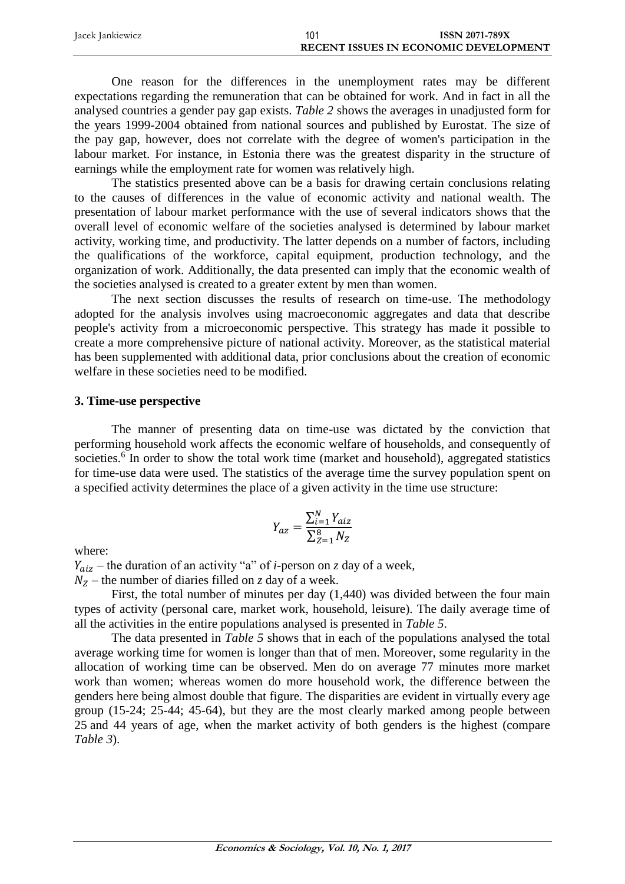| Jacek Jankiewicz | 101 | <b>ISSN 2071-789X</b>                 |
|------------------|-----|---------------------------------------|
|                  |     | RECENT ISSUES IN ECONOMIC DEVELOPMENT |

One reason for the differences in the unemployment rates may be different expectations regarding the remuneration that can be obtained for work. And in fact in all the analysed countries a gender pay gap exists. *Table 2* shows the averages in unadjusted form for the years 1999-2004 obtained from national sources and published by Eurostat. The size of the pay gap, however, does not correlate with the degree of women's participation in the labour market. For instance, in Estonia there was the greatest disparity in the structure of earnings while the employment rate for women was relatively high.

The statistics presented above can be a basis for drawing certain conclusions relating to the causes of differences in the value of economic activity and national wealth. The presentation of labour market performance with the use of several indicators shows that the overall level of economic welfare of the societies analysed is determined by labour market activity, working time, and productivity. The latter depends on a number of factors, including the qualifications of the workforce, capital equipment, production technology, and the organization of work. Additionally, the data presented can imply that the economic wealth of the societies analysed is created to a greater extent by men than women.

The next section discusses the results of research on time-use. The methodology adopted for the analysis involves using macroeconomic aggregates and data that describe people's activity from a microeconomic perspective. This strategy has made it possible to create a more comprehensive picture of national activity. Moreover, as the statistical material has been supplemented with additional data, prior conclusions about the creation of economic welfare in these societies need to be modified.

## **3. Time-use perspective**

The manner of presenting data on time-use was dictated by the conviction that performing household work affects the economic welfare of households, and consequently of societies.<sup>6</sup> In order to show the total work time (market and household), aggregated statistics for time-use data were used. The statistics of the average time the survey population spent on a specified activity determines the place of a given activity in the time use structure:

$$
Y_{az} = \frac{\sum_{i=1}^{N} Y_{aiz}}{\sum_{Z=1}^{8} N_Z}
$$

where:

– the duration of an activity "a" of *i*-person on *z* day of a week,

 $N_Z$  – the number of diaries filled on *z* day of a week.

First, the total number of minutes per day (1,440) was divided between the four main types of activity (personal care, market work, household, leisure). The daily average time of all the activities in the entire populations analysed is presented in *Table 5*.

The data presented in *Table 5* shows that in each of the populations analysed the total average working time for women is longer than that of men. Moreover, some regularity in the allocation of working time can be observed. Men do on average 77 minutes more market work than women; whereas women do more household work, the difference between the genders here being almost double that figure. The disparities are evident in virtually every age group (15-24; 25-44; 45-64), but they are the most clearly marked among people between 25 and 44 years of age, when the market activity of both genders is the highest (compare *Table 3*).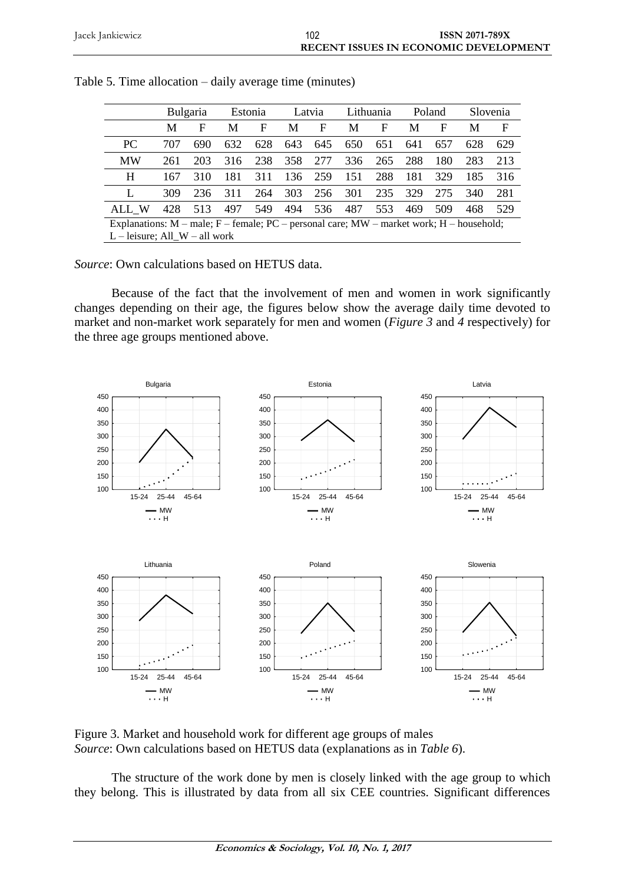|                                                                                                    |     | <b>Bulgaria</b> |     | Estonia |     | Latvia |     | Lithuania |     | Poland |     | Slovenia    |
|----------------------------------------------------------------------------------------------------|-----|-----------------|-----|---------|-----|--------|-----|-----------|-----|--------|-----|-------------|
|                                                                                                    | M   | F               | M   | F       | М   | F      | М   | F         | M   | F      | М   | $\mathbf F$ |
| PC                                                                                                 | 707 | 690             | 632 | 628     | 643 | 645    | 650 | 651       | 641 | 657    | 628 | 629         |
| <b>MW</b>                                                                                          | 261 | 203             | 316 | 238     | 358 | 277    | 336 | 265       | 288 | 180    | 283 | 213         |
| H                                                                                                  | 167 | 310             | 181 | 311     | 136 | 259    | 151 | 288       | 181 | 329    | 185 | 316         |
| L                                                                                                  | 309 | 236             | 311 | 264     | 303 | 256    | 301 | 235       | 329 | 275    | 340 | 281         |
| ALL W                                                                                              | 428 | 513             | 497 | 549     | 494 | 536    | 487 | 553       | 469 | 509    | 468 | 529         |
| Explanations: $M$ – male; $F$ – female; $PC$ – personal care; $MW$ – market work; $H$ – household; |     |                 |     |         |     |        |     |           |     |        |     |             |
| $L$ – leisure; All W – all work                                                                    |     |                 |     |         |     |        |     |           |     |        |     |             |

Table 5. Time allocation – daily average time (minutes)

*Source*: Own calculations based on HETUS data.

Because of the fact that the involvement of men and women in work significantly changes depending on their age, the figures below show the average daily time devoted to market and non-market work separately for men and women (*Figure 3* and *4* respectively) for the three age groups mentioned above.



Figure 3. Market and household work for different age groups of males *Source*: Own calculations based on HETUS data (explanations as in *Table 6*).

The structure of the work done by men is closely linked with the age group to which they belong. This is illustrated by data from all six CEE countries. Significant differences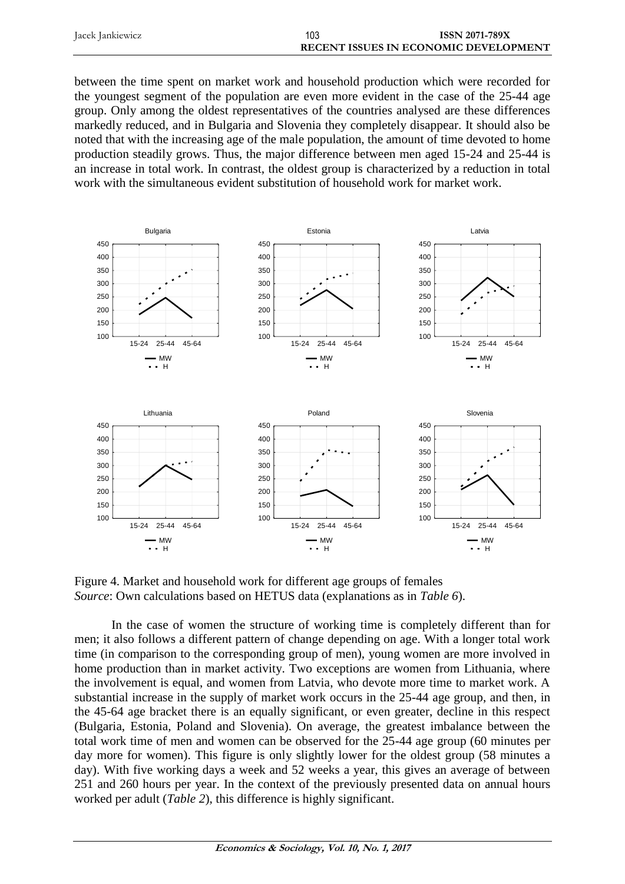| Jacek Jankiewicz | 103 | <b>ISSN 2071-789X</b>                        |
|------------------|-----|----------------------------------------------|
|                  |     | <b>RECENT ISSUES IN ECONOMIC DEVELOPMENT</b> |

between the time spent on market work and household production which were recorded for the youngest segment of the population are even more evident in the case of the 25-44 age group. Only among the oldest representatives of the countries analysed are these differences markedly reduced, and in Bulgaria and Slovenia they completely disappear. It should also be noted that with the increasing age of the male population, the amount of time devoted to home production steadily grows. Thus, the major difference between men aged 15-24 and 25-44 is an increase in total work. In contrast, the oldest group is characterized by a reduction in total work with the simultaneous evident substitution of household work for market work.



Figure 4. Market and household work for different age groups of females *Source*: Own calculations based on HETUS data (explanations as in *Table 6*).

In the case of women the structure of working time is completely different than for men; it also follows a different pattern of change depending on age. With a longer total work time (in comparison to the corresponding group of men), young women are more involved in home production than in market activity. Two exceptions are women from Lithuania, where the involvement is equal, and women from Latvia, who devote more time to market work. A substantial increase in the supply of market work occurs in the 25-44 age group, and then, in the 45-64 age bracket there is an equally significant, or even greater, decline in this respect (Bulgaria, Estonia, Poland and Slovenia). On average, the greatest imbalance between the total work time of men and women can be observed for the 25-44 age group (60 minutes per day more for women). This figure is only slightly lower for the oldest group (58 minutes a day). With five working days a week and 52 weeks a year, this gives an average of between 251 and 260 hours per year. In the context of the previously presented data on annual hours worked per adult (*Table 2*), this difference is highly significant.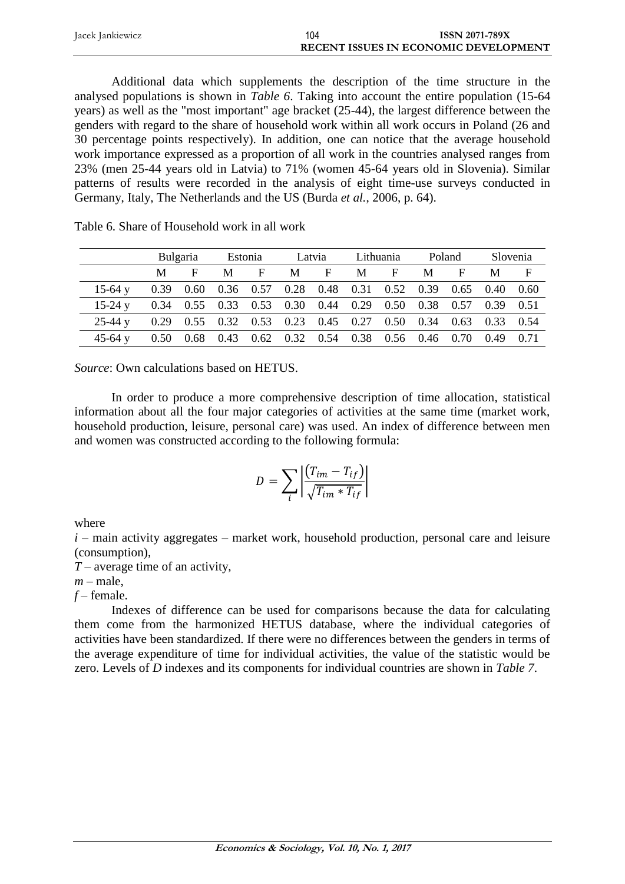| Jacek Jankiewicz | 104 | <b>ISSN 2071-789X</b>                        |
|------------------|-----|----------------------------------------------|
|                  |     | <b>RECENT ISSUES IN ECONOMIC DEVELOPMENT</b> |

Additional data which supplements the description of the time structure in the analysed populations is shown in *Table 6*. Taking into account the entire population (15-64 years) as well as the "most important" age bracket (25-44), the largest difference between the genders with regard to the share of household work within all work occurs in Poland (26 and 30 percentage points respectively). In addition, one can notice that the average household work importance expressed as a proportion of all work in the countries analysed ranges from 23% (men 25-44 years old in Latvia) to 71% (women 45-64 years old in Slovenia). Similar patterns of results were recorded in the analysis of eight time-use surveys conducted in Germany, Italy, The Netherlands and the US (Burda *et al.*, 2006, p. 64).

|           |      | <b>Bulgaria</b> |      | Estonia | Latvia                             |   |   | Lithuania                                 |      | Poland               |             | Slovenia |
|-----------|------|-----------------|------|---------|------------------------------------|---|---|-------------------------------------------|------|----------------------|-------------|----------|
|           | M    | F               | M    | F       | M                                  | F | M | F                                         | M    | F                    | M           |          |
| 15-64 y   | 0.39 | 0.60            |      |         |                                    |   |   | $0.36$ $0.57$ $0.28$ $0.48$ $0.31$ $0.52$ |      | $0.39$ $0.65$ $0.40$ |             | 0.60     |
| 15-24 $v$ | 0.34 | 0.55            |      |         | $0.33$ $0.53$ $0.30$ $0.44$ $0.29$ |   |   | 0.50                                      |      | 0.38 0.57 0.39       |             | 0.51     |
| $25-44$ y | 0.29 | 0.55            |      |         | 0.32 0.53 0.23 0.45 0.27           |   |   | 0.50                                      | 0.34 |                      | $0.63$ 0.33 | 0.54     |
| 45-64 $v$ | 0.50 | 0.68            | 0.43 |         | $0.62$ $0.32$ $0.54$ $0.38$        |   |   | 0.56 0.46 0.70                            |      |                      | 0.49        |          |

Table 6. Share of Household work in all work

*Source*: Own calculations based on HETUS.

In order to produce a more comprehensive description of time allocation, statistical information about all the four major categories of activities at the same time (market work, household production, leisure, personal care) was used. An index of difference between men and women was constructed according to the following formula:

$$
D = \sum_{i} \left| \frac{(T_{im} - T_{if})}{\sqrt{T_{im} \cdot T_{if}}} \right|
$$

where

 $i$  – main activity aggregates – market work, household production, personal care and leisure (consumption),

*T* – average time of an activity,

 $m$  – male,

*f* – female.

Indexes of difference can be used for comparisons because the data for calculating them come from the harmonized HETUS database, where the individual categories of activities have been standardized. If there were no differences between the genders in terms of the average expenditure of time for individual activities, the value of the statistic would be zero. Levels of *D* indexes and its components for individual countries are shown in *Table 7*.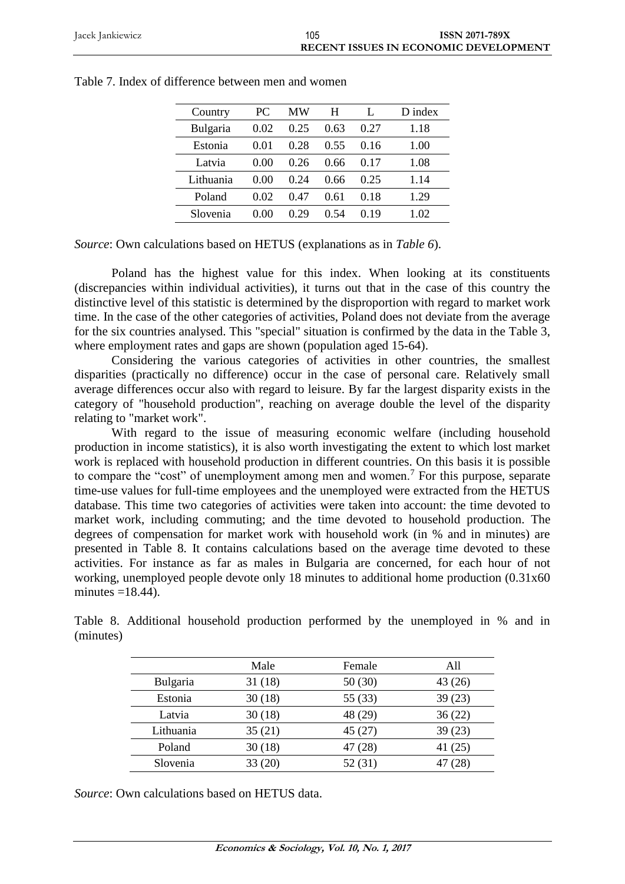| Country         | PC   | MW   | H    |      | D index |
|-----------------|------|------|------|------|---------|
| <b>Bulgaria</b> | 0.02 | 0.25 | 0.63 | 0.27 | 1.18    |
| Estonia         | 0.01 | 0.28 | 0.55 | በ 16 | 1.00    |
| Latvia          | 0.00 | 0.26 | 0.66 | 0.17 | 1.08    |
| Lithuania       | 0.00 | 0.24 | 0.66 | 0.25 | 1.14    |
| Poland          | 0.02 | 0.47 | 0.61 | 0.18 | 1.29    |
| Slovenia        | 0.00 | 0.29 | 0 54 | 0.19 | 1.02    |
|                 |      |      |      |      |         |

| Table 7. Index of difference between men and women |  |  |  |
|----------------------------------------------------|--|--|--|
|                                                    |  |  |  |

*Source*: Own calculations based on HETUS (explanations as in *Table 6*).

Poland has the highest value for this index. When looking at its constituents (discrepancies within individual activities), it turns out that in the case of this country the distinctive level of this statistic is determined by the disproportion with regard to market work time. In the case of the other categories of activities, Poland does not deviate from the average for the six countries analysed. This "special" situation is confirmed by the data in the Table 3, where employment rates and gaps are shown (population aged 15-64).

Considering the various categories of activities in other countries, the smallest disparities (practically no difference) occur in the case of personal care. Relatively small average differences occur also with regard to leisure. By far the largest disparity exists in the category of "household production", reaching on average double the level of the disparity relating to "market work".

With regard to the issue of measuring economic welfare (including household production in income statistics), it is also worth investigating the extent to which lost market work is replaced with household production in different countries. On this basis it is possible to compare the "cost" of unemployment among men and women.<sup>7</sup> For this purpose, separate time-use values for full-time employees and the unemployed were extracted from the HETUS database. This time two categories of activities were taken into account: the time devoted to market work, including commuting; and the time devoted to household production. The degrees of compensation for market work with household work (in % and in minutes) are presented in Table 8. It contains calculations based on the average time devoted to these activities. For instance as far as males in Bulgaria are concerned, for each hour of not working, unemployed people devote only 18 minutes to additional home production (0.31x60 minutes  $=18.44$ ).

Table 8. Additional household production performed by the unemployed in % and in (minutes)

|           | Male   | Female  | All     |
|-----------|--------|---------|---------|
| Bulgaria  | 31(18) | 50(30)  | 43(26)  |
| Estonia   | 30(18) | 55 (33) | 39(23)  |
| Latvia    | 30(18) | 48 (29) | 36(22)  |
| Lithuania | 35(21) | 45(27)  | 39(23)  |
| Poland    | 30(18) | 47 (28) | 41(25)  |
| Slovenia  | 33(20) | 52 (31) | 47 (28) |

*Source*: Own calculations based on HETUS data.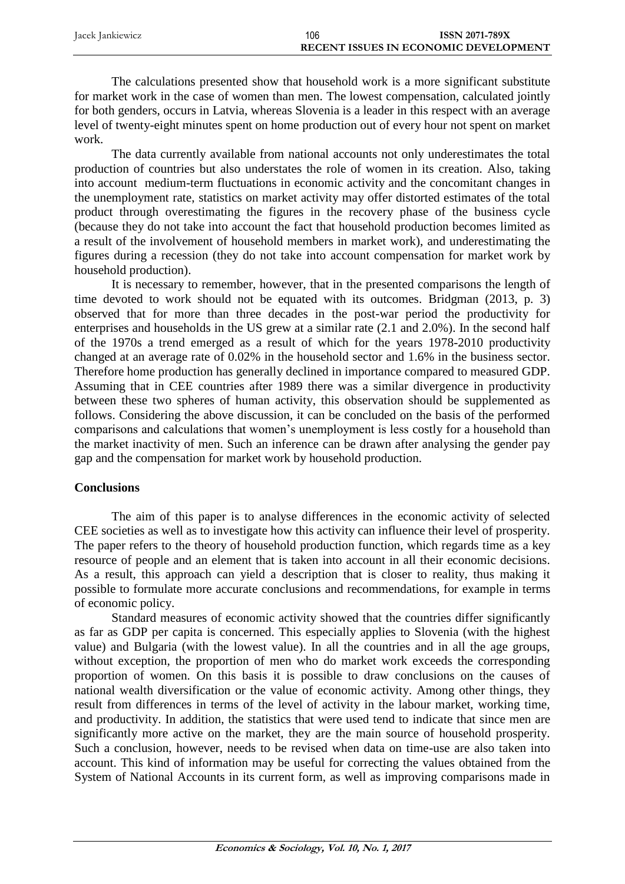| Jacek Jankiewicz | 106 | <b>ISSN 2071-789X</b>                 |
|------------------|-----|---------------------------------------|
|                  |     | RECENT ISSUES IN ECONOMIC DEVELOPMENT |

The calculations presented show that household work is a more significant substitute for market work in the case of women than men. The lowest compensation, calculated jointly for both genders, occurs in Latvia, whereas Slovenia is a leader in this respect with an average level of twenty-eight minutes spent on home production out of every hour not spent on market work.

The data currently available from national accounts not only underestimates the total production of countries but also understates the role of women in its creation. Also, taking into account medium-term fluctuations in economic activity and the concomitant changes in the unemployment rate, statistics on market activity may offer distorted estimates of the total product through overestimating the figures in the recovery phase of the business cycle (because they do not take into account the fact that household production becomes limited as a result of the involvement of household members in market work), and underestimating the figures during a recession (they do not take into account compensation for market work by household production).

It is necessary to remember, however, that in the presented comparisons the length of time devoted to work should not be equated with its outcomes. Bridgman (2013, p. 3) observed that for more than three decades in the post-war period the productivity for enterprises and households in the US grew at a similar rate (2.1 and 2.0%). In the second half of the 1970s a trend emerged as a result of which for the years 1978-2010 productivity changed at an average rate of 0.02% in the household sector and 1.6% in the business sector. Therefore home production has generally declined in importance compared to measured GDP. Assuming that in CEE countries after 1989 there was a similar divergence in productivity between these two spheres of human activity, this observation should be supplemented as follows. Considering the above discussion, it can be concluded on the basis of the performed comparisons and calculations that women's unemployment is less costly for a household than the market inactivity of men. Such an inference can be drawn after analysing the gender pay gap and the compensation for market work by household production.

## **Conclusions**

The aim of this paper is to analyse differences in the economic activity of selected CEE societies as well as to investigate how this activity can influence their level of prosperity. The paper refers to the theory of household production function, which regards time as a key resource of people and an element that is taken into account in all their economic decisions. As a result, this approach can yield a description that is closer to reality, thus making it possible to formulate more accurate conclusions and recommendations, for example in terms of economic policy.

Standard measures of economic activity showed that the countries differ significantly as far as GDP per capita is concerned. This especially applies to Slovenia (with the highest value) and Bulgaria (with the lowest value). In all the countries and in all the age groups, without exception, the proportion of men who do market work exceeds the corresponding proportion of women. On this basis it is possible to draw conclusions on the causes of national wealth diversification or the value of economic activity. Among other things, they result from differences in terms of the level of activity in the labour market, working time, and productivity. In addition, the statistics that were used tend to indicate that since men are significantly more active on the market, they are the main source of household prosperity. Such a conclusion, however, needs to be revised when data on time-use are also taken into account. This kind of information may be useful for correcting the values obtained from the System of National Accounts in its current form, as well as improving comparisons made in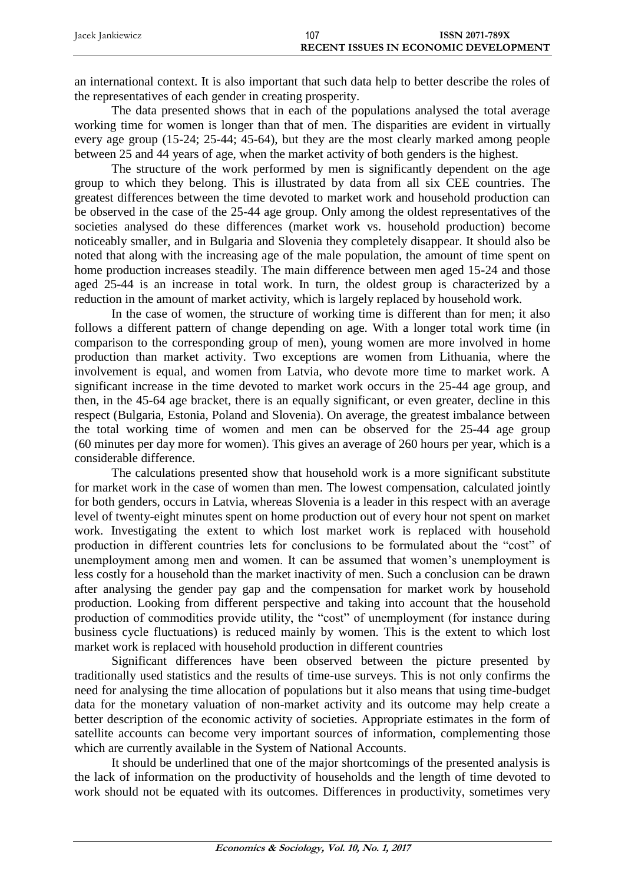| Jacek Jankiewicz | 107 | <b>ISSN 2071-789X</b>                        |
|------------------|-----|----------------------------------------------|
|                  |     | <b>RECENT ISSUES IN ECONOMIC DEVELOPMENT</b> |

an international context. It is also important that such data help to better describe the roles of the representatives of each gender in creating prosperity.

The data presented shows that in each of the populations analysed the total average working time for women is longer than that of men. The disparities are evident in virtually every age group (15-24; 25-44; 45-64), but they are the most clearly marked among people between 25 and 44 years of age, when the market activity of both genders is the highest.

The structure of the work performed by men is significantly dependent on the age group to which they belong. This is illustrated by data from all six CEE countries. The greatest differences between the time devoted to market work and household production can be observed in the case of the 25-44 age group. Only among the oldest representatives of the societies analysed do these differences (market work vs. household production) become noticeably smaller, and in Bulgaria and Slovenia they completely disappear. It should also be noted that along with the increasing age of the male population, the amount of time spent on home production increases steadily. The main difference between men aged 15-24 and those aged 25-44 is an increase in total work. In turn, the oldest group is characterized by a reduction in the amount of market activity, which is largely replaced by household work.

In the case of women, the structure of working time is different than for men; it also follows a different pattern of change depending on age. With a longer total work time (in comparison to the corresponding group of men), young women are more involved in home production than market activity. Two exceptions are women from Lithuania, where the involvement is equal, and women from Latvia, who devote more time to market work. A significant increase in the time devoted to market work occurs in the 25-44 age group, and then, in the 45-64 age bracket, there is an equally significant, or even greater, decline in this respect (Bulgaria, Estonia, Poland and Slovenia). On average, the greatest imbalance between the total working time of women and men can be observed for the 25-44 age group (60 minutes per day more for women). This gives an average of 260 hours per year, which is a considerable difference.

The calculations presented show that household work is a more significant substitute for market work in the case of women than men. The lowest compensation, calculated jointly for both genders, occurs in Latvia, whereas Slovenia is a leader in this respect with an average level of twenty-eight minutes spent on home production out of every hour not spent on market work. Investigating the extent to which lost market work is replaced with household production in different countries lets for conclusions to be formulated about the "cost" of unemployment among men and women. It can be assumed that women's unemployment is less costly for a household than the market inactivity of men. Such a conclusion can be drawn after analysing the gender pay gap and the compensation for market work by household production. Looking from different perspective and taking into account that the household production of commodities provide utility, the "cost" of unemployment (for instance during business cycle fluctuations) is reduced mainly by women. This is the extent to which lost market work is replaced with household production in different countries

Significant differences have been observed between the picture presented by traditionally used statistics and the results of time-use surveys. This is not only confirms the need for analysing the time allocation of populations but it also means that using time-budget data for the monetary valuation of non-market activity and its outcome may help create a better description of the economic activity of societies. Appropriate estimates in the form of satellite accounts can become very important sources of information, complementing those which are currently available in the System of National Accounts.

It should be underlined that one of the major shortcomings of the presented analysis is the lack of information on the productivity of households and the length of time devoted to work should not be equated with its outcomes. Differences in productivity, sometimes very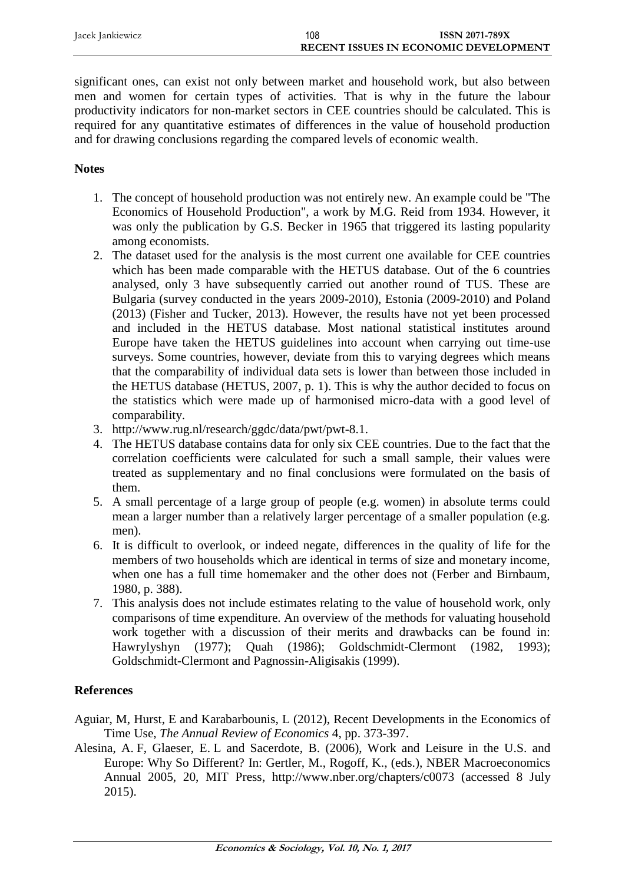| Jacek Jankiewicz | 108 | <b>ISSN 2071-789X</b>                 |
|------------------|-----|---------------------------------------|
|                  |     | RECENT ISSUES IN ECONOMIC DEVELOPMENT |

significant ones, can exist not only between market and household work, but also between men and women for certain types of activities. That is why in the future the labour productivity indicators for non-market sectors in CEE countries should be calculated. This is required for any quantitative estimates of differences in the value of household production and for drawing conclusions regarding the compared levels of economic wealth.

# **Notes**

- 1. The concept of household production was not entirely new. An example could be "The Economics of Household Production", a work by M.G. Reid from 1934. However, it was only the publication by G.S. Becker in 1965 that triggered its lasting popularity among economists.
- 2. The dataset used for the analysis is the most current one available for CEE countries which has been made comparable with the HETUS database. Out of the 6 countries analysed, only 3 have subsequently carried out another round of TUS. These are Bulgaria (survey conducted in the years 2009-2010), Estonia (2009-2010) and Poland (2013) (Fisher and Tucker, 2013). However, the results have not yet been processed and included in the HETUS database. Most national statistical institutes around Europe have taken the HETUS guidelines into account when carrying out time-use surveys. Some countries, however, deviate from this to varying degrees which means that the comparability of individual data sets is lower than between those included in the HETUS database (HETUS, 2007, p. 1). This is why the author decided to focus on the statistics which were made up of harmonised micro-data with a good level of comparability.
- 3. http://www.rug.nl/research/ggdc/data/pwt/pwt-8.1.
- 4. The HETUS database contains data for only six CEE countries. Due to the fact that the correlation coefficients were calculated for such a small sample, their values were treated as supplementary and no final conclusions were formulated on the basis of them.
- 5. A small percentage of a large group of people (e.g. women) in absolute terms could mean a larger number than a relatively larger percentage of a smaller population (e.g. men).
- 6. It is difficult to overlook, or indeed negate, differences in the quality of life for the members of two households which are identical in terms of size and monetary income, when one has a full time homemaker and the other does not (Ferber and Birnbaum, 1980, p. 388).
- 7. This analysis does not include estimates relating to the value of household work, only comparisons of time expenditure. An overview of the methods for valuating household work together with a discussion of their merits and drawbacks can be found in: Hawrylyshyn (1977); Quah (1986); Goldschmidt-Clermont (1982, 1993); Goldschmidt-Clermont and Pagnossin-Aligisakis (1999).

# **References**

- Aguiar, M, Hurst, E and Karabarbounis, L (2012), Recent Developments in the Economics of Time Use, *The Annual Review of Economics* 4, pp. 373-397.
- Alesina, A. F, Glaeser, E. L and Sacerdote, B. (2006), Work and Leisure in the U.S. and Europe: Why So Different? In: Gertler, M., Rogoff, K., (eds.), NBER Macroeconomics Annual 2005, 20, MIT Press, <http://www.nber.org/chapters/c0073> (accessed 8 July 2015).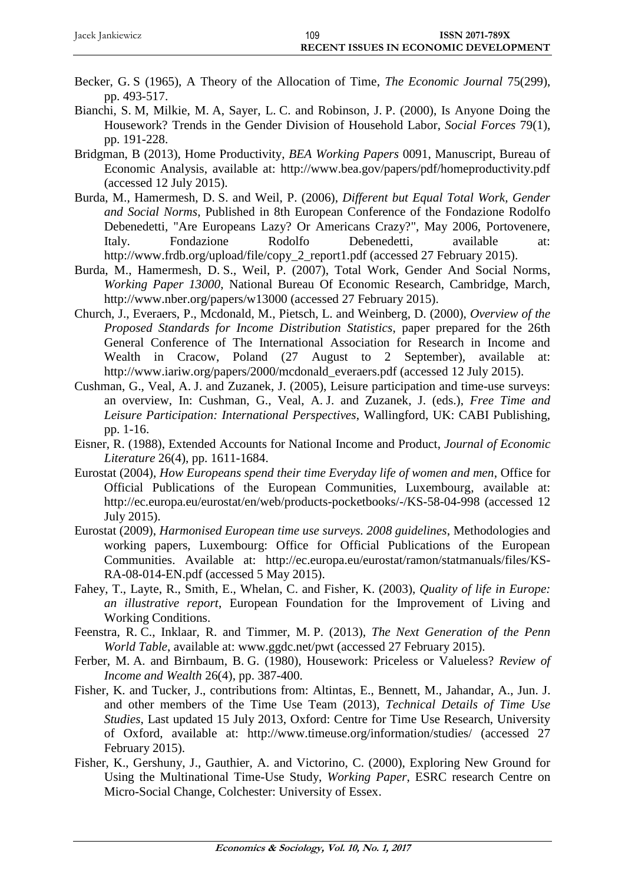| Jacek Jankiewicz | 109 | <b>ISSN 2071-789X</b>                        |
|------------------|-----|----------------------------------------------|
|                  |     | <b>RECENT ISSUES IN ECONOMIC DEVELOPMENT</b> |

- Becker, G. S (1965), A Theory of the Allocation of Time, *The Economic Journal* 75(299), pp. 493-517.
- Bianchi, S. M, Milkie, M. A, Sayer, L. C. and Robinson, J. P. (2000), Is Anyone Doing the Housework? Trends in the Gender Division of Household Labor, *Social Forces* 79(1), pp. 191-228.
- Bridgman, B (2013), Home Productivity, *BEA Working Papers* 0091, Manuscript, Bureau of Economic Analysis, available at: http://www.bea.gov/papers/pdf/homeproductivity.pdf (accessed 12 July 2015).
- Burda, M., Hamermesh, D. S. and Weil, P. (2006), *Different but Equal Total Work, Gender and Social Norms*, Published in 8th European Conference of the Fondazione Rodolfo Debenedetti, "Are Europeans Lazy? Or Americans Crazy?", May 2006, Portovenere, Italy. Fondazione Rodolfo Debenedetti, available at: http://www.frdb.org/upload/file/copy\_2\_report1.pdf (accessed 27 February 2015).
- Burda, M., Hamermesh, D. S., Weil, P. (2007), Total Work, Gender And Social Norms, *Working Paper 13000*, National Bureau Of Economic Research, Cambridge, March, <http://www.nber.org/papers/w13000> (accessed 27 February 2015).
- Church, J., Everaers, P., Mcdonald, M., Pietsch, L. and Weinberg, D. (2000), *Overview of the Proposed Standards for Income Distribution Statistics*, paper prepared for the 26th General Conference of The International Association for Research in Income and Wealth in Cracow, Poland (27 August to 2 September), available at: http://www.iariw.org/papers/2000/mcdonald\_everaers.pdf (accessed 12 July 2015).
- Cushman, G., Veal, A. J. and Zuzanek, J. (2005), Leisure participation and time-use surveys: an overview, In: Cushman, G., Veal, A. J. and Zuzanek, J. (eds.), *Free Time and Leisure Participation: International Perspectives*, Wallingford, UK: CABI Publishing, pp. 1-16.
- Eisner, R. (1988), Extended Accounts for National Income and Product, *Journal of Economic Literature* 26(4), pp. 1611-1684.
- Eurostat (2004), *How Europeans spend their time Everyday life of women and men*, Office for Official Publications of the European Communities, Luxembourg, available at: http://ec.europa.eu/eurostat/en/web/products-pocketbooks/-/KS-58-04-998 (accessed 12 July 2015).
- Eurostat (2009), *Harmonised European time use surveys. 2008 guidelines*, Methodologies and working papers, Luxembourg: Office for Official Publications of the European Communities. Available at: http://ec.europa.eu/eurostat/ramon/statmanuals/files/KS-RA-08-014-EN.pdf (accessed 5 May 2015).
- Fahey, T., Layte, R., Smith, E., Whelan, C. and Fisher, K. (2003), *Quality of life in Europe: an illustrative report*, European Foundation for the Improvement of Living and Working Conditions.
- Feenstra, R. C., Inklaar, R. and Timmer, M. P. (2013), *The Next Generation of the Penn World Table*, available at: [www.ggdc.net/pwt](http://www.ggdc.net/pwt) (accessed 27 February 2015).
- Ferber, M. A. and Birnbaum, B. G. (1980), Housework: Priceless or Valueless? *Review of Income and Wealth* 26(4), pp. 387-400.
- Fisher, K. and Tucker, J., contributions from: Altintas, E., Bennett, M., Jahandar, A., Jun. J. and other members of the Time Use Team (2013), *Technical Details of Time Use Studies*, Last updated 15 July 2013, Oxford: Centre for Time Use Research, University of Oxford, available at: <http://www.timeuse.org/information/studies/> (accessed 27 February 2015).
- Fisher, K., Gershuny, J., Gauthier, A. and Victorino, C. (2000), Exploring New Ground for Using the Multinational Time-Use Study, *Working Paper*, ESRC research Centre on Micro-Social Change, Colchester: University of Essex.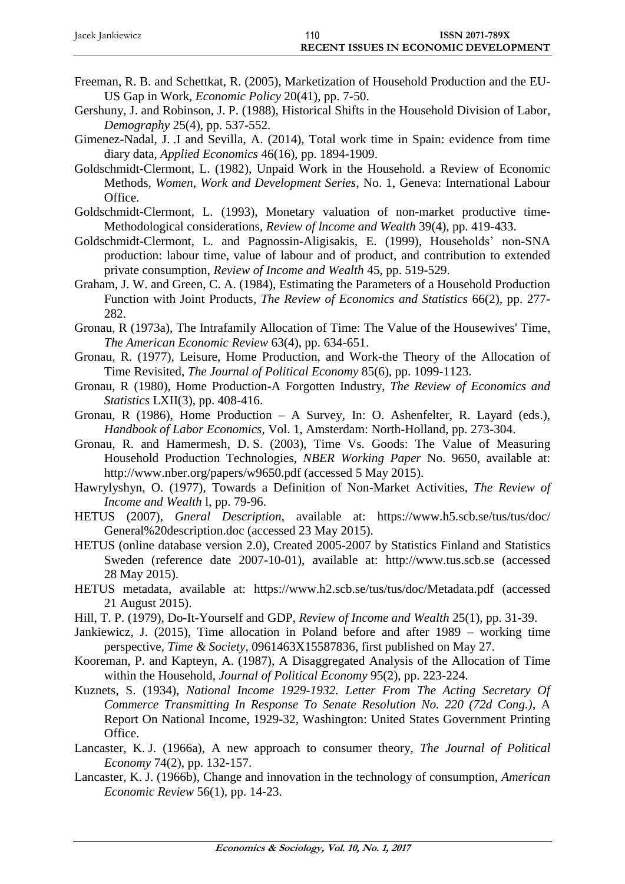| Jacek Jankiewicz | 110 | <b>ISSN 2071-789X</b>                        |
|------------------|-----|----------------------------------------------|
|                  |     | <b>RECENT ISSUES IN ECONOMIC DEVELOPMENT</b> |

- Freeman, R. B. and Schettkat, R. (2005), Marketization of Household Production and the EU-US Gap in Work, *Economic Policy* 20(41), pp. 7-50.
- Gershuny, J. and Robinson, J. P. (1988), Historical Shifts in the Household Division of Labor, *Demography* 25(4), pp. 537-552.
- Gimenez-Nadal, J. .I and Sevilla, A. (2014), Total work time in Spain: evidence from time diary data, *Applied Economics* 46(16), pp. 1894-1909.
- Goldschmidt-Clermont, L. (1982), Unpaid Work in the Household. a Review of Economic Methods, *Women, Work and Development Series*, No. 1, Geneva: International Labour Office.
- Goldschmidt-Clermont, L. (1993), Monetary valuation of non-market productive time-Methodological considerations, *Review of lncome and Wealth* 39(4), pp. 419-433.
- Goldschmidt-Clermont, L. and Pagnossin-Aligisakis, E. (1999), Households' non-SNA production: labour time, value of labour and of product, and contribution to extended private consumption, *Review of Income and Wealth* 45, pp. 519-529.
- Graham, J. W. and Green, C. A. (1984), Estimating the Parameters of a Household Production Function with Joint Products, *The Review of Economics and Statistics* 66(2), pp. 277- 282.
- Gronau, R (1973a), The Intrafamily Allocation of Time: The Value of the Housewives' Time, *The American Economic Review* 63(4), pp. 634-651.
- Gronau, R. (1977), Leisure, Home Production, and Work-the Theory of the Allocation of Time Revisited, *The Journal of Political Economy* 85(6), pp. 1099-1123.
- Gronau, R (1980), Home Production-A Forgotten Industry, *The Review of Economics and Statistics* LXII(3), pp. 408-416.
- Gronau, R (1986), Home Production A Survey, In: O. Ashenfelter, R. Layard (eds.), *Handbook of Labor Economics*, Vol. 1, Amsterdam: North-Holland, pp. 273-304.
- Gronau, R. and Hamermesh, D. S. (2003), Time Vs. Goods: The Value of Measuring Household Production Technologies, *NBER Working Paper* No. 9650, available at: http://www.nber.org/papers/w9650.pdf (accessed 5 May 2015).
- Hawrylyshyn, O. (1977), Towards a Definition of Non-Market Activities, *The Review of Income and Wealth* l, pp. 79-96.
- HETUS (2007), *Gneral Description*, available at: [https://www.h5.scb.se/tus/tus/doc/](https://www.h5.scb.se/tus/tus/doc/%20General%20description.doc)  [General%20description.doc](https://www.h5.scb.se/tus/tus/doc/%20General%20description.doc) (accessed 23 May 2015).
- HETUS (online database version 2.0), Created 2005-2007 by Statistics Finland and Statistics Sweden (reference date 2007-10-01), available at: [http://www.tus.scb.se](http://www.tus.scb.se/) (accessed 28 May 2015).
- HETUS metadata, available at: <https://www.h2.scb.se/tus/tus/doc/Metadata.pdf> (accessed 21 August 2015).
- Hill, T. P. (1979), Do-It-Yourself and GDP, *Review of Income and Wealth* 25(1), pp. 31-39.
- Jankiewicz, J. (2015), Time allocation in Poland before and after 1989 working time perspective, *Time & Society*, 0961463X15587836, first published on May 27.
- Kooreman, P. and Kapteyn, A. (1987), A Disaggregated Analysis of the Allocation of Time within the Household, *Journal of Political Economy* 95(2), pp. 223-224.
- Kuznets, S. (1934), *National Income 1929-1932. Letter From The Acting Secretary Of Commerce Transmitting In Response To Senate Resolution No. 220 (72d Cong.)*, A Report On National Income, 1929-32, Washington: United States Government Printing Office.
- Lancaster, K. J. (1966a), A new approach to consumer theory, *The Journal of Political Economy* 74(2), pp. 132-157.
- Lancaster, K. J. (1966b), Change and innovation in the technology of consumption, *American Economic Review* 56(1), pp. 14-23.